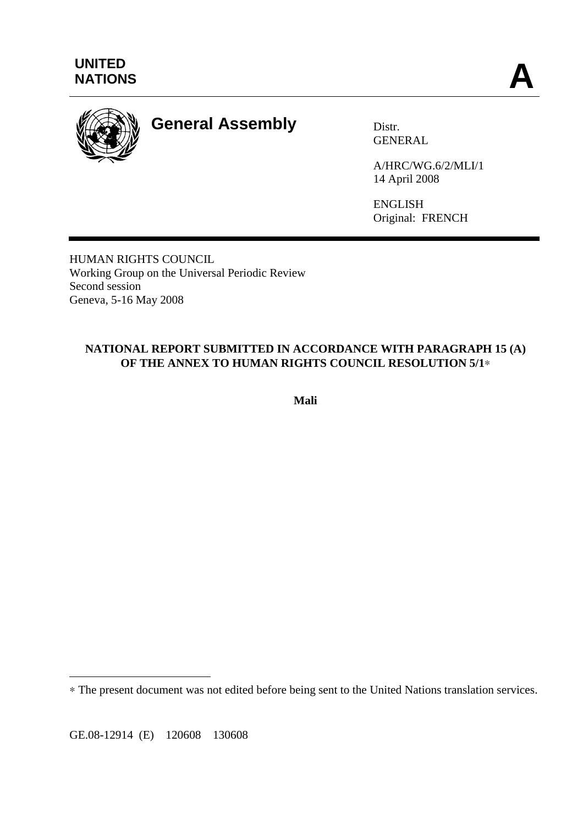

# **General Assembly** Distr.

GENERAL

A/HRC/WG.6/2/MLI/1 14 April 2008

ENGLISH Original: FRENCH

HUMAN RIGHTS COUNCIL Working Group on the Universal Periodic Review Second session Geneva, 5-16 May 2008

## **NATIONAL REPORT SUBMITTED IN ACCORDANCE WITH PARAGRAPH 15 (A) OF THE ANNEX TO HUMAN RIGHTS COUNCIL RESOLUTION 5/1**∗

**Mali**

GE.08-12914 (E) 120608 130608

 $\overline{a}$ 

<sup>∗</sup> The present document was not edited before being sent to the United Nations translation services.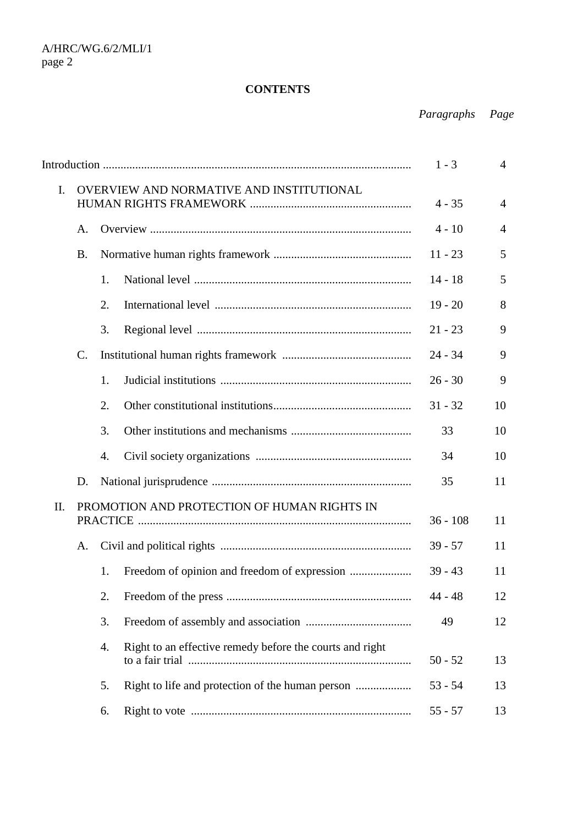## **CONTENTS**

*Paragraphs Page*

|                |                                          |                                             |                                                          |           | $\overline{4}$ |
|----------------|------------------------------------------|---------------------------------------------|----------------------------------------------------------|-----------|----------------|
| $\mathbf{I}$ . | OVERVIEW AND NORMATIVE AND INSTITUTIONAL |                                             |                                                          | $4 - 35$  | $\overline{4}$ |
|                | A.                                       |                                             |                                                          | $4 - 10$  | $\overline{4}$ |
|                | <b>B.</b>                                |                                             |                                                          | $11 - 23$ | 5              |
|                |                                          | 1.                                          |                                                          | $14 - 18$ | 5              |
|                |                                          | 2.                                          |                                                          | $19 - 20$ | 8              |
|                |                                          | 3.                                          |                                                          | $21 - 23$ | 9              |
|                | C.                                       |                                             |                                                          | $24 - 34$ | 9              |
|                |                                          | 1.                                          |                                                          | $26 - 30$ | 9              |
|                |                                          | 2.                                          |                                                          | $31 - 32$ | 10             |
|                |                                          | 3.                                          |                                                          | 33        | 10             |
|                |                                          | 4.                                          |                                                          | 34        | 10             |
|                | D.                                       |                                             |                                                          | 35        | 11             |
| II.            |                                          | PROMOTION AND PROTECTION OF HUMAN RIGHTS IN | $36 - 108$                                               | 11        |                |
|                | A.                                       |                                             |                                                          | $39 - 57$ | 11             |
|                |                                          | 1.                                          |                                                          | $39 - 43$ | 11             |
|                |                                          | 2.                                          |                                                          | $44 - 48$ | 12             |
|                |                                          | 3.                                          |                                                          | 49        | 12             |
|                |                                          | 4.                                          | Right to an effective remedy before the courts and right | $50 - 52$ | 13             |
|                |                                          | 5.                                          |                                                          | $53 - 54$ | 13             |
|                |                                          | 6.                                          |                                                          | $55 - 57$ | 13             |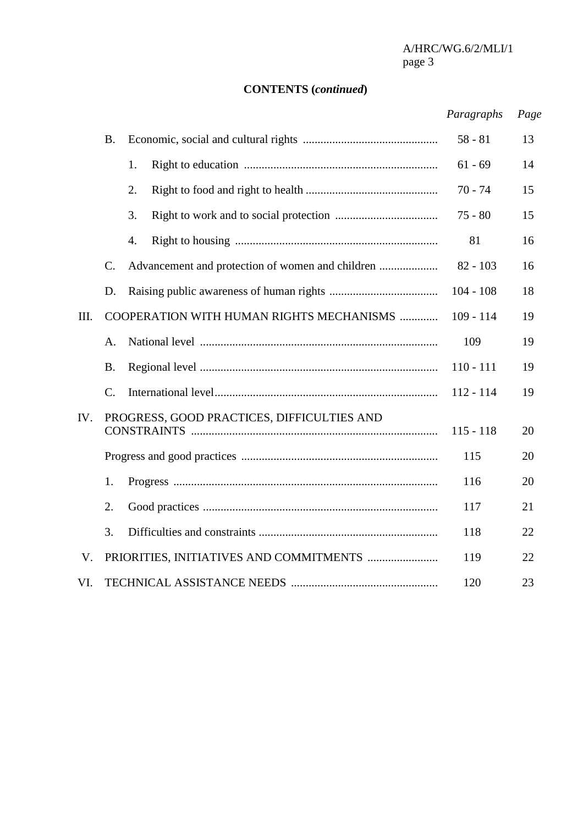$\mbox{A/HRC/WG}.6/2/\mbox{MLI}/1$  page  $3$ page 3

## **CONTENTS (***continued***)**

## *Paragraphs Page*

|      | <b>B.</b>       |                                                  | $58 - 81$   | 13 |
|------|-----------------|--------------------------------------------------|-------------|----|
|      |                 | 1.                                               | $61 - 69$   | 14 |
|      |                 | 2.                                               | $70 - 74$   | 15 |
|      |                 | 3.                                               | $75 - 80$   | 15 |
|      |                 | 4.                                               | 81          | 16 |
|      | C.              | Advancement and protection of women and children | $82 - 103$  | 16 |
|      | D.              |                                                  | $104 - 108$ | 18 |
| III. |                 | COOPERATION WITH HUMAN RIGHTS MECHANISMS         | $109 - 114$ | 19 |
|      | A.              |                                                  | 109         | 19 |
|      | <b>B.</b>       |                                                  | $110 - 111$ | 19 |
|      | $\mathcal{C}$ . |                                                  | $112 - 114$ | 19 |
| IV.  |                 | PROGRESS, GOOD PRACTICES, DIFFICULTIES AND       | $115 - 118$ | 20 |
|      |                 |                                                  | 115         | 20 |
|      | 1.              |                                                  | 116         | 20 |
|      | 2.              |                                                  | 117         | 21 |
|      | 3.              |                                                  | 118         | 22 |
| V.   |                 |                                                  | 119         | 22 |
| VI.  |                 |                                                  | 120         | 23 |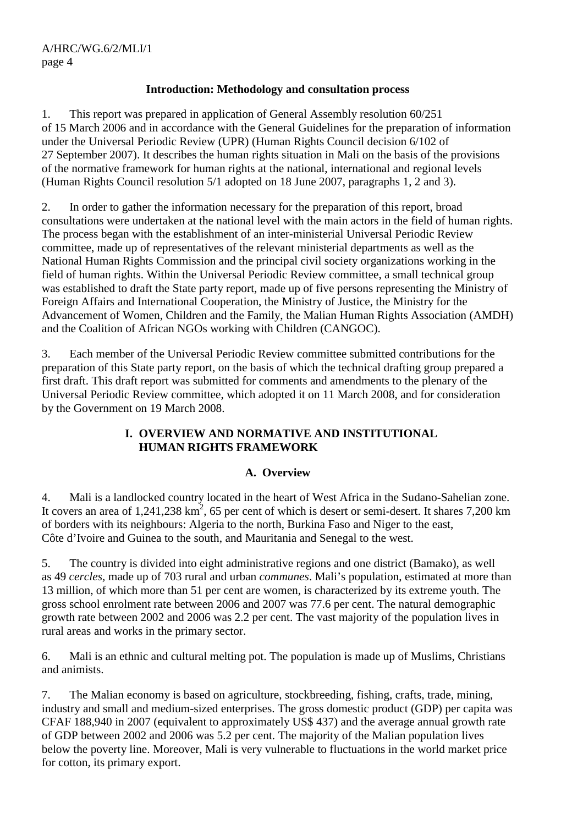## **Introduction: Methodology and consultation process**

1. This report was prepared in application of General Assembly resolution 60/251 of 15 March 2006 and in accordance with the General Guidelines for the preparation of information under the Universal Periodic Review (UPR) (Human Rights Council decision 6/102 of 27 September 2007). It describes the human rights situation in Mali on the basis of the provisions of the normative framework for human rights at the national, international and regional levels (Human Rights Council resolution 5/1 adopted on 18 June 2007, paragraphs 1, 2 and 3).

2. In order to gather the information necessary for the preparation of this report, broad consultations were undertaken at the national level with the main actors in the field of human rights. The process began with the establishment of an inter-ministerial Universal Periodic Review committee, made up of representatives of the relevant ministerial departments as well as the National Human Rights Commission and the principal civil society organizations working in the field of human rights. Within the Universal Periodic Review committee, a small technical group was established to draft the State party report, made up of five persons representing the Ministry of Foreign Affairs and International Cooperation, the Ministry of Justice, the Ministry for the Advancement of Women, Children and the Family, the Malian Human Rights Association (AMDH) and the Coalition of African NGOs working with Children (CANGOC).

3. Each member of the Universal Periodic Review committee submitted contributions for the preparation of this State party report, on the basis of which the technical drafting group prepared a first draft. This draft report was submitted for comments and amendments to the plenary of the Universal Periodic Review committee, which adopted it on 11 March 2008, and for consideration by the Government on 19 March 2008.

## **I. OVERVIEW AND NORMATIVE AND INSTITUTIONAL HUMAN RIGHTS FRAMEWORK**

## **A. Overview**

4. Mali is a landlocked country located in the heart of West Africa in the Sudano-Sahelian zone. It covers an area of  $1,241,238 \text{ km}^2$ , 65 per cent of which is desert or semi-desert. It shares 7,200 km of borders with its neighbours: Algeria to the north, Burkina Faso and Niger to the east, Côte d'Ivoire and Guinea to the south, and Mauritania and Senegal to the west.

5. The country is divided into eight administrative regions and one district (Bamako), as well as 49 *cercles,* made up of 703 rural and urban *communes*. Mali's population, estimated at more than 13 million, of which more than 51 per cent are women, is characterized by its extreme youth. The gross school enrolment rate between 2006 and 2007 was 77.6 per cent. The natural demographic growth rate between 2002 and 2006 was 2.2 per cent. The vast majority of the population lives in rural areas and works in the primary sector.

6. Mali is an ethnic and cultural melting pot. The population is made up of Muslims, Christians and animists.

7. The Malian economy is based on agriculture, stockbreeding, fishing, crafts, trade, mining, industry and small and medium-sized enterprises. The gross domestic product (GDP) per capita was CFAF 188,940 in 2007 (equivalent to approximately US\$ 437) and the average annual growth rate of GDP between 2002 and 2006 was 5.2 per cent. The majority of the Malian population lives below the poverty line. Moreover, Mali is very vulnerable to fluctuations in the world market price for cotton, its primary export.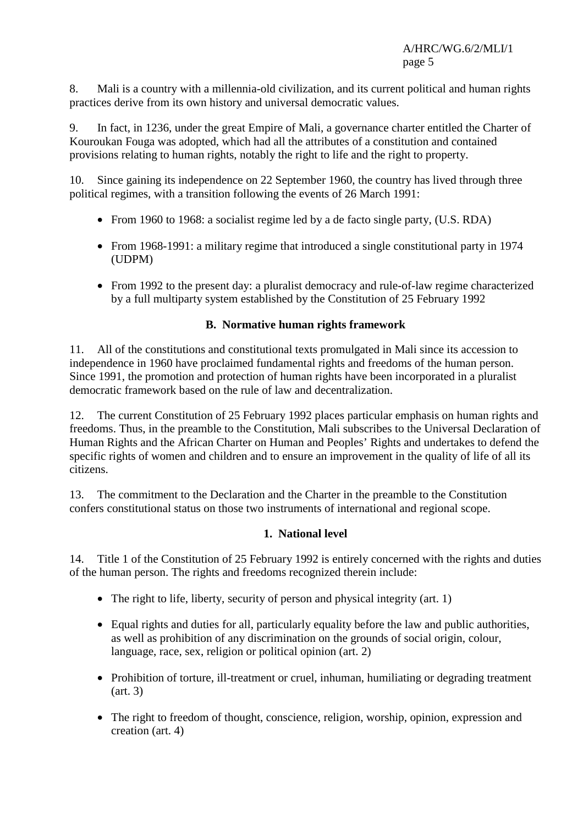8. Mali is a country with a millennia-old civilization, and its current political and human rights practices derive from its own history and universal democratic values.

9. In fact, in 1236, under the great Empire of Mali, a governance charter entitled the Charter of Kouroukan Fouga was adopted, which had all the attributes of a constitution and contained provisions relating to human rights, notably the right to life and the right to property.

10. Since gaining its independence on 22 September 1960, the country has lived through three political regimes, with a transition following the events of 26 March 1991:

- From 1960 to 1968: a socialist regime led by a de facto single party, (U.S. RDA)
- From 1968-1991: a military regime that introduced a single constitutional party in 1974 (UDPM)
- From 1992 to the present day: a pluralist democracy and rule-of-law regime characterized by a full multiparty system established by the Constitution of 25 February 1992

## **B. Normative human rights framework**

11. All of the constitutions and constitutional texts promulgated in Mali since its accession to independence in 1960 have proclaimed fundamental rights and freedoms of the human person. Since 1991, the promotion and protection of human rights have been incorporated in a pluralist democratic framework based on the rule of law and decentralization.

12. The current Constitution of 25 February 1992 places particular emphasis on human rights and freedoms. Thus, in the preamble to the Constitution, Mali subscribes to the Universal Declaration of Human Rights and the African Charter on Human and Peoples' Rights and undertakes to defend the specific rights of women and children and to ensure an improvement in the quality of life of all its citizens.

13. The commitment to the Declaration and the Charter in the preamble to the Constitution confers constitutional status on those two instruments of international and regional scope.

## **1. National level**

14. Title 1 of the Constitution of 25 February 1992 is entirely concerned with the rights and duties of the human person. The rights and freedoms recognized therein include:

- The right to life, liberty, security of person and physical integrity (art. 1)
- Equal rights and duties for all, particularly equality before the law and public authorities, as well as prohibition of any discrimination on the grounds of social origin, colour, language, race, sex, religion or political opinion (art. 2)
- Prohibition of torture, ill-treatment or cruel, inhuman, humiliating or degrading treatment (art. 3)
- The right to freedom of thought, conscience, religion, worship, opinion, expression and creation (art. 4)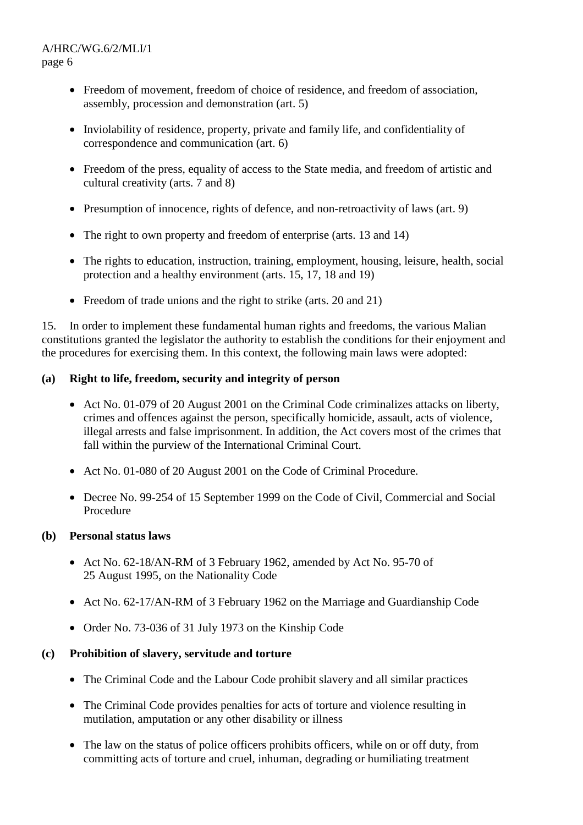- Freedom of movement, freedom of choice of residence, and freedom of association, assembly, procession and demonstration (art. 5)
- Inviolability of residence, property, private and family life, and confidentiality of correspondence and communication (art. 6)
- Freedom of the press, equality of access to the State media, and freedom of artistic and cultural creativity (arts. 7 and 8)
- Presumption of innocence, rights of defence, and non-retroactivity of laws (art. 9)
- The right to own property and freedom of enterprise (arts. 13 and 14)
- The rights to education, instruction, training, employment, housing, leisure, health, social protection and a healthy environment (arts. 15, 17, 18 and 19)
- Freedom of trade unions and the right to strike (arts. 20 and 21)

15. In order to implement these fundamental human rights and freedoms, the various Malian constitutions granted the legislator the authority to establish the conditions for their enjoyment and the procedures for exercising them. In this context, the following main laws were adopted:

## **(a) Right to life, freedom, security and integrity of person**

- Act No. 01-079 of 20 August 2001 on the Criminal Code criminalizes attacks on liberty, crimes and offences against the person, specifically homicide, assault, acts of violence, illegal arrests and false imprisonment. In addition, the Act covers most of the crimes that fall within the purview of the International Criminal Court.
- Act No. 01-080 of 20 August 2001 on the Code of Criminal Procedure.
- Decree No. 99-254 of 15 September 1999 on the Code of Civil, Commercial and Social Procedure

## **(b) Personal status laws**

- Act No. 62-18/AN-RM of 3 February 1962, amended by Act No. 95-70 of 25 August 1995, on the Nationality Code
- Act No. 62-17/AN-RM of 3 February 1962 on the Marriage and Guardianship Code
- Order No. 73-036 of 31 July 1973 on the Kinship Code

## **(c) Prohibition of slavery, servitude and torture**

- The Criminal Code and the Labour Code prohibit slavery and all similar practices
- The Criminal Code provides penalties for acts of torture and violence resulting in mutilation, amputation or any other disability or illness
- The law on the status of police officers prohibits officers, while on or off duty, from committing acts of torture and cruel, inhuman, degrading or humiliating treatment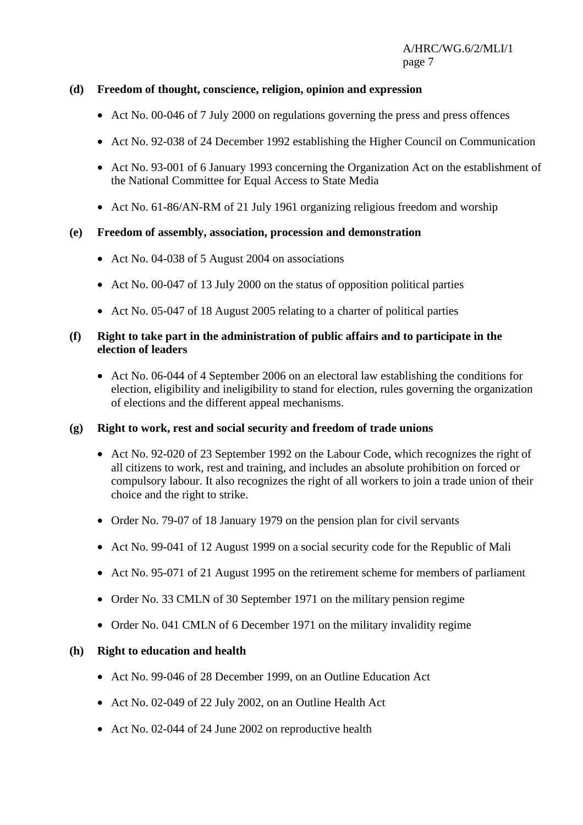## **(d) Freedom of thought, conscience, religion, opinion and expression**

- Act No. 00-046 of 7 July 2000 on regulations governing the press and press offences
- Act No. 92-038 of 24 December 1992 establishing the Higher Council on Communication
- Act No. 93-001 of 6 January 1993 concerning the Organization Act on the establishment of the National Committee for Equal Access to State Media
- Act No. 61-86/AN-RM of 21 July 1961 organizing religious freedom and worship

#### **(e) Freedom of assembly, association, procession and demonstration**

- Act No. 04-038 of 5 August 2004 on associations
- Act No. 00-047 of 13 July 2000 on the status of opposition political parties
- Act No. 05-047 of 18 August 2005 relating to a charter of political parties

#### **(f) Right to take part in the administration of public affairs and to participate in the election of leaders**

• Act No. 06-044 of 4 September 2006 on an electoral law establishing the conditions for election, eligibility and ineligibility to stand for election, rules governing the organization of elections and the different appeal mechanisms.

#### **(g) Right to work, rest and social security and freedom of trade unions**

- Act No. 92-020 of 23 September 1992 on the Labour Code, which recognizes the right of all citizens to work, rest and training, and includes an absolute prohibition on forced or compulsory labour. It also recognizes the right of all workers to join a trade union of their choice and the right to strike.
- Order No. 79-07 of 18 January 1979 on the pension plan for civil servants
- Act No. 99-041 of 12 August 1999 on a social security code for the Republic of Mali
- Act No. 95-071 of 21 August 1995 on the retirement scheme for members of parliament
- Order No. 33 CMLN of 30 September 1971 on the military pension regime
- Order No. 041 CMLN of 6 December 1971 on the military invalidity regime

#### **(h) Right to education and health**

- Act No. 99-046 of 28 December 1999, on an Outline Education Act
- Act No. 02-049 of 22 July 2002, on an Outline Health Act
- Act No. 02-044 of 24 June 2002 on reproductive health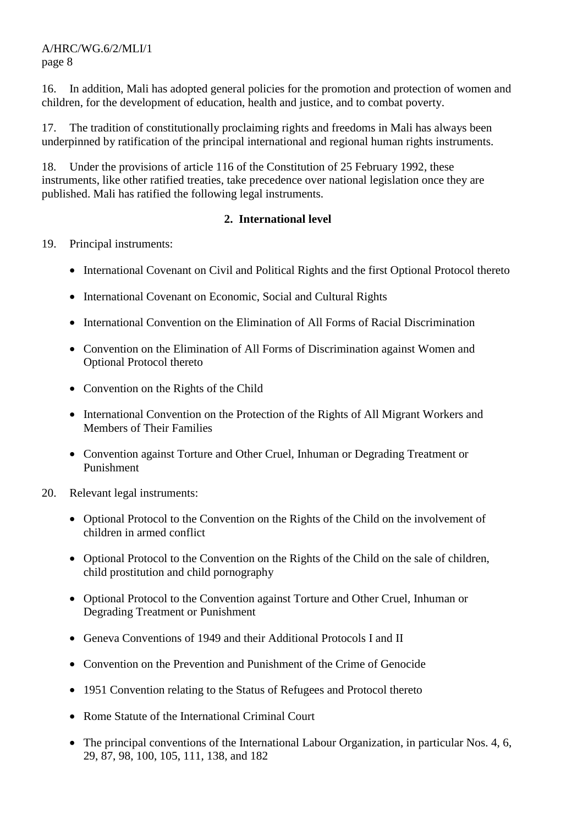16. In addition, Mali has adopted general policies for the promotion and protection of women and children, for the development of education, health and justice, and to combat poverty.

17. The tradition of constitutionally proclaiming rights and freedoms in Mali has always been underpinned by ratification of the principal international and regional human rights instruments.

18. Under the provisions of article 116 of the Constitution of 25 February 1992, these instruments, like other ratified treaties, take precedence over national legislation once they are published. Mali has ratified the following legal instruments.

## **2. International level**

- 19. Principal instruments:
	- International Covenant on Civil and Political Rights and the first Optional Protocol thereto
	- International Covenant on Economic, Social and Cultural Rights
	- International Convention on the Elimination of All Forms of Racial Discrimination
	- Convention on the Elimination of All Forms of Discrimination against Women and Optional Protocol thereto
	- Convention on the Rights of the Child
	- International Convention on the Protection of the Rights of All Migrant Workers and Members of Their Families
	- Convention against Torture and Other Cruel, Inhuman or Degrading Treatment or Punishment
- 20. Relevant legal instruments:
	- Optional Protocol to the Convention on the Rights of the Child on the involvement of children in armed conflict
	- Optional Protocol to the Convention on the Rights of the Child on the sale of children, child prostitution and child pornography
	- Optional Protocol to the Convention against Torture and Other Cruel, Inhuman or Degrading Treatment or Punishment
	- Geneva Conventions of 1949 and their Additional Protocols I and II
	- Convention on the Prevention and Punishment of the Crime of Genocide
	- 1951 Convention relating to the Status of Refugees and Protocol thereto
	- Rome Statute of the International Criminal Court
	- The principal conventions of the International Labour Organization, in particular Nos. 4, 6, 29, 87, 98, 100, 105, 111, 138, and 182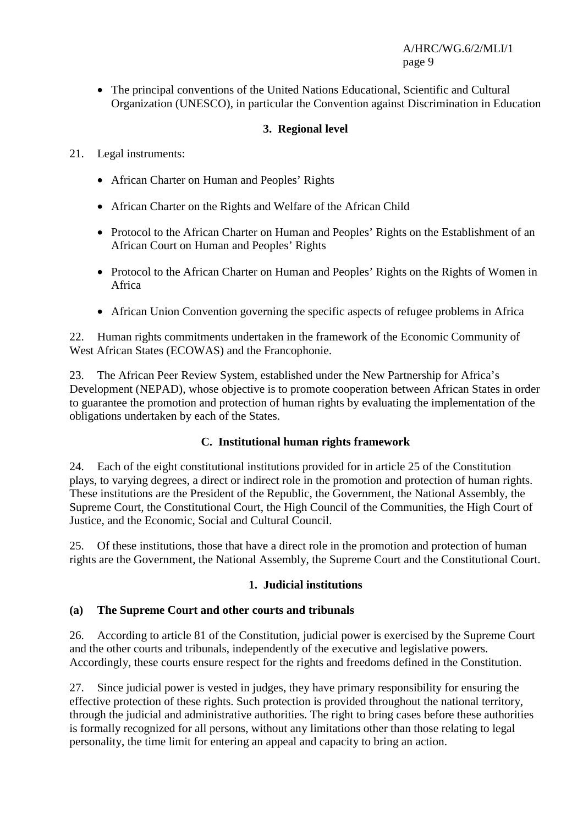• The principal conventions of the United Nations Educational, Scientific and Cultural Organization (UNESCO), in particular the Convention against Discrimination in Education

## **3. Regional level**

- 21. Legal instruments:
	- African Charter on Human and Peoples' Rights
	- African Charter on the Rights and Welfare of the African Child
	- Protocol to the African Charter on Human and Peoples' Rights on the Establishment of an African Court on Human and Peoples' Rights
	- Protocol to the African Charter on Human and Peoples' Rights on the Rights of Women in Africa
	- African Union Convention governing the specific aspects of refugee problems in Africa

22. Human rights commitments undertaken in the framework of the Economic Community of West African States (ECOWAS) and the Francophonie.

23. The African Peer Review System, established under the New Partnership for Africa's Development (NEPAD), whose objective is to promote cooperation between African States in order to guarantee the promotion and protection of human rights by evaluating the implementation of the obligations undertaken by each of the States.

## **C. Institutional human rights framework**

24. Each of the eight constitutional institutions provided for in article 25 of the Constitution plays, to varying degrees, a direct or indirect role in the promotion and protection of human rights. These institutions are the President of the Republic, the Government, the National Assembly, the Supreme Court, the Constitutional Court, the High Council of the Communities, the High Court of Justice, and the Economic, Social and Cultural Council.

25. Of these institutions, those that have a direct role in the promotion and protection of human rights are the Government, the National Assembly, the Supreme Court and the Constitutional Court.

## **1. Judicial institutions**

## **(a) The Supreme Court and other courts and tribunals**

26. According to article 81 of the Constitution, judicial power is exercised by the Supreme Court and the other courts and tribunals, independently of the executive and legislative powers. Accordingly, these courts ensure respect for the rights and freedoms defined in the Constitution.

27. Since judicial power is vested in judges, they have primary responsibility for ensuring the effective protection of these rights. Such protection is provided throughout the national territory, through the judicial and administrative authorities. The right to bring cases before these authorities is formally recognized for all persons, without any limitations other than those relating to legal personality, the time limit for entering an appeal and capacity to bring an action.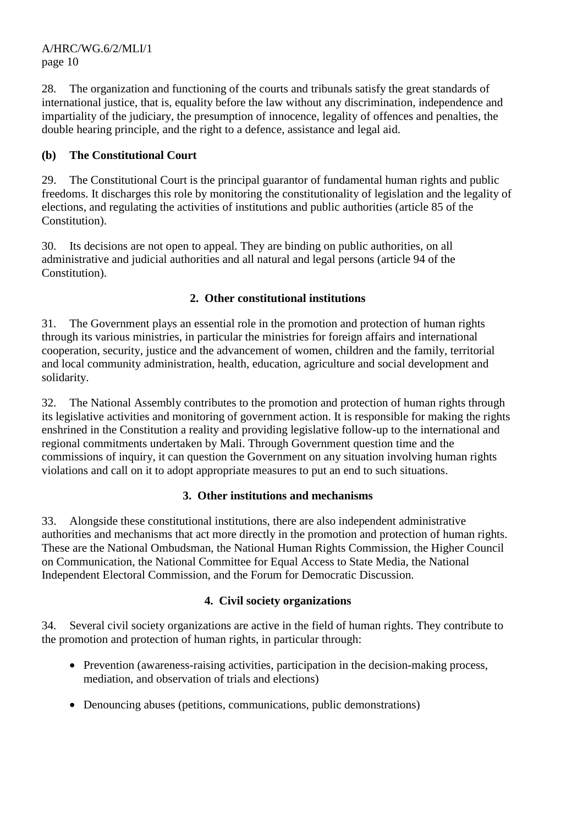28. The organization and functioning of the courts and tribunals satisfy the great standards of international justice, that is, equality before the law without any discrimination, independence and impartiality of the judiciary, the presumption of innocence, legality of offences and penalties, the double hearing principle, and the right to a defence, assistance and legal aid.

## **(b) The Constitutional Court**

29. The Constitutional Court is the principal guarantor of fundamental human rights and public freedoms. It discharges this role by monitoring the constitutionality of legislation and the legality of elections, and regulating the activities of institutions and public authorities (article 85 of the Constitution).

30. Its decisions are not open to appeal. They are binding on public authorities, on all administrative and judicial authorities and all natural and legal persons (article 94 of the Constitution).

## **2. Other constitutional institutions**

31. The Government plays an essential role in the promotion and protection of human rights through its various ministries, in particular the ministries for foreign affairs and international cooperation, security, justice and the advancement of women, children and the family, territorial and local community administration, health, education, agriculture and social development and solidarity.

32. The National Assembly contributes to the promotion and protection of human rights through its legislative activities and monitoring of government action. It is responsible for making the rights enshrined in the Constitution a reality and providing legislative follow-up to the international and regional commitments undertaken by Mali. Through Government question time and the commissions of inquiry, it can question the Government on any situation involving human rights violations and call on it to adopt appropriate measures to put an end to such situations.

## **3. Other institutions and mechanisms**

33. Alongside these constitutional institutions, there are also independent administrative authorities and mechanisms that act more directly in the promotion and protection of human rights. These are the National Ombudsman, the National Human Rights Commission, the Higher Council on Communication, the National Committee for Equal Access to State Media, the National Independent Electoral Commission, and the Forum for Democratic Discussion.

## **4. Civil society organizations**

34. Several civil society organizations are active in the field of human rights. They contribute to the promotion and protection of human rights, in particular through:

- Prevention (awareness-raising activities, participation in the decision-making process, mediation, and observation of trials and elections)
- Denouncing abuses (petitions, communications, public demonstrations)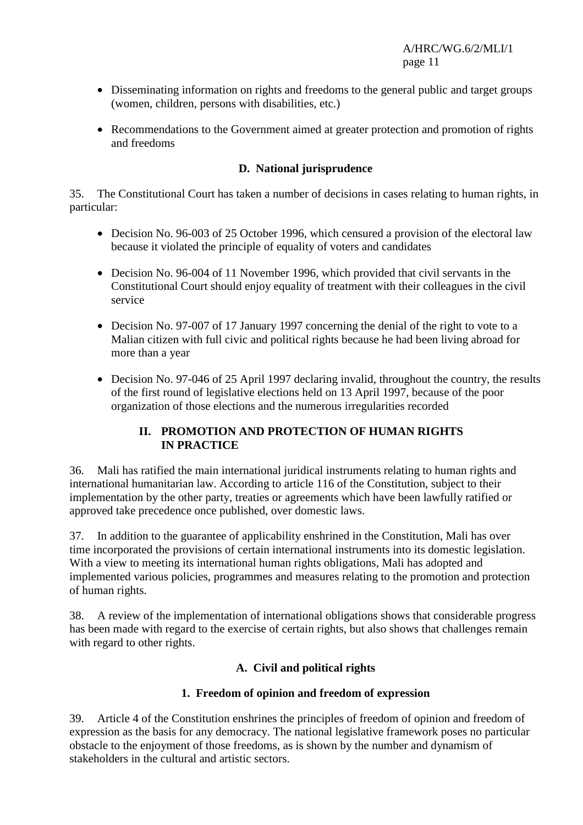- Disseminating information on rights and freedoms to the general public and target groups (women, children, persons with disabilities, etc.)
- Recommendations to the Government aimed at greater protection and promotion of rights and freedoms

## **D. National jurisprudence**

35. The Constitutional Court has taken a number of decisions in cases relating to human rights, in particular:

- Decision No. 96-003 of 25 October 1996, which censured a provision of the electoral law because it violated the principle of equality of voters and candidates
- Decision No. 96-004 of 11 November 1996, which provided that civil servants in the Constitutional Court should enjoy equality of treatment with their colleagues in the civil service
- Decision No. 97-007 of 17 January 1997 concerning the denial of the right to vote to a Malian citizen with full civic and political rights because he had been living abroad for more than a year
- Decision No. 97-046 of 25 April 1997 declaring invalid, throughout the country, the results of the first round of legislative elections held on 13 April 1997, because of the poor organization of those elections and the numerous irregularities recorded

## **II. PROMOTION AND PROTECTION OF HUMAN RIGHTS IN PRACTICE**

36. Mali has ratified the main international juridical instruments relating to human rights and international humanitarian law. According to article 116 of the Constitution, subject to their implementation by the other party, treaties or agreements which have been lawfully ratified or approved take precedence once published, over domestic laws.

37. In addition to the guarantee of applicability enshrined in the Constitution, Mali has over time incorporated the provisions of certain international instruments into its domestic legislation. With a view to meeting its international human rights obligations, Mali has adopted and implemented various policies, programmes and measures relating to the promotion and protection of human rights.

38. A review of the implementation of international obligations shows that considerable progress has been made with regard to the exercise of certain rights, but also shows that challenges remain with regard to other rights.

## **A. Civil and political rights**

## **1. Freedom of opinion and freedom of expression**

39. Article 4 of the Constitution enshrines the principles of freedom of opinion and freedom of expression as the basis for any democracy. The national legislative framework poses no particular obstacle to the enjoyment of those freedoms, as is shown by the number and dynamism of stakeholders in the cultural and artistic sectors.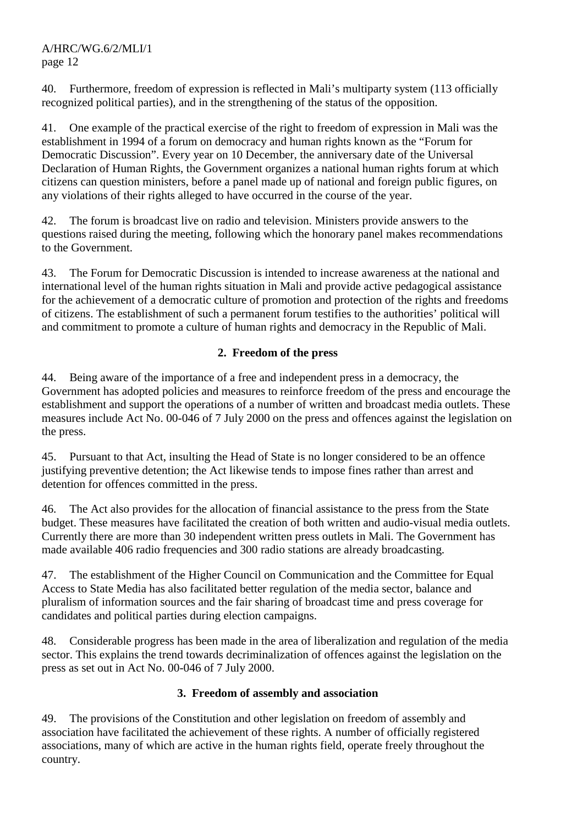40. Furthermore, freedom of expression is reflected in Mali's multiparty system (113 officially recognized political parties), and in the strengthening of the status of the opposition.

41. One example of the practical exercise of the right to freedom of expression in Mali was the establishment in 1994 of a forum on democracy and human rights known as the "Forum for Democratic Discussion". Every year on 10 December, the anniversary date of the Universal Declaration of Human Rights, the Government organizes a national human rights forum at which citizens can question ministers, before a panel made up of national and foreign public figures, on any violations of their rights alleged to have occurred in the course of the year.

42. The forum is broadcast live on radio and television. Ministers provide answers to the questions raised during the meeting, following which the honorary panel makes recommendations to the Government.

43. The Forum for Democratic Discussion is intended to increase awareness at the national and international level of the human rights situation in Mali and provide active pedagogical assistance for the achievement of a democratic culture of promotion and protection of the rights and freedoms of citizens. The establishment of such a permanent forum testifies to the authorities' political will and commitment to promote a culture of human rights and democracy in the Republic of Mali.

## **2. Freedom of the press**

44. Being aware of the importance of a free and independent press in a democracy, the Government has adopted policies and measures to reinforce freedom of the press and encourage the establishment and support the operations of a number of written and broadcast media outlets. These measures include Act No. 00-046 of 7 July 2000 on the press and offences against the legislation on the press.

45. Pursuant to that Act, insulting the Head of State is no longer considered to be an offence justifying preventive detention; the Act likewise tends to impose fines rather than arrest and detention for offences committed in the press.

46. The Act also provides for the allocation of financial assistance to the press from the State budget. These measures have facilitated the creation of both written and audio-visual media outlets. Currently there are more than 30 independent written press outlets in Mali. The Government has made available 406 radio frequencies and 300 radio stations are already broadcasting.

47. The establishment of the Higher Council on Communication and the Committee for Equal Access to State Media has also facilitated better regulation of the media sector, balance and pluralism of information sources and the fair sharing of broadcast time and press coverage for candidates and political parties during election campaigns.

48. Considerable progress has been made in the area of liberalization and regulation of the media sector. This explains the trend towards decriminalization of offences against the legislation on the press as set out in Act No. 00-046 of 7 July 2000.

## **3. Freedom of assembly and association**

49. The provisions of the Constitution and other legislation on freedom of assembly and association have facilitated the achievement of these rights. A number of officially registered associations, many of which are active in the human rights field, operate freely throughout the country.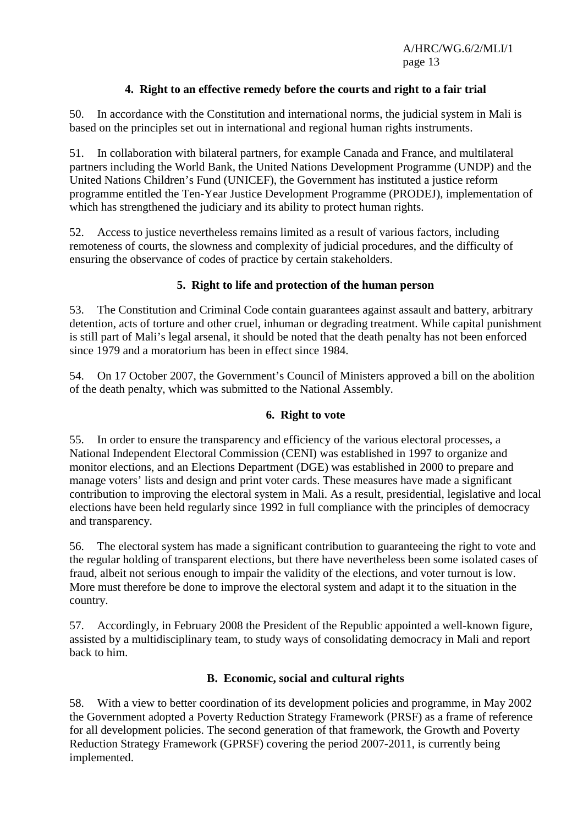## **4. Right to an effective remedy before the courts and right to a fair trial**

50. In accordance with the Constitution and international norms, the judicial system in Mali is based on the principles set out in international and regional human rights instruments.

51. In collaboration with bilateral partners, for example Canada and France, and multilateral partners including the World Bank, the United Nations Development Programme (UNDP) and the United Nations Children's Fund (UNICEF), the Government has instituted a justice reform programme entitled the Ten-Year Justice Development Programme (PRODEJ), implementation of which has strengthened the judiciary and its ability to protect human rights.

52. Access to justice nevertheless remains limited as a result of various factors, including remoteness of courts, the slowness and complexity of judicial procedures, and the difficulty of ensuring the observance of codes of practice by certain stakeholders.

## **5. Right to life and protection of the human person**

53. The Constitution and Criminal Code contain guarantees against assault and battery, arbitrary detention, acts of torture and other cruel, inhuman or degrading treatment. While capital punishment is still part of Mali's legal arsenal, it should be noted that the death penalty has not been enforced since 1979 and a moratorium has been in effect since 1984.

54. On 17 October 2007, the Government's Council of Ministers approved a bill on the abolition of the death penalty, which was submitted to the National Assembly.

## **6. Right to vote**

55. In order to ensure the transparency and efficiency of the various electoral processes, a National Independent Electoral Commission (CENI) was established in 1997 to organize and monitor elections, and an Elections Department (DGE) was established in 2000 to prepare and manage voters' lists and design and print voter cards. These measures have made a significant contribution to improving the electoral system in Mali. As a result, presidential, legislative and local elections have been held regularly since 1992 in full compliance with the principles of democracy and transparency.

56. The electoral system has made a significant contribution to guaranteeing the right to vote and the regular holding of transparent elections, but there have nevertheless been some isolated cases of fraud, albeit not serious enough to impair the validity of the elections, and voter turnout is low. More must therefore be done to improve the electoral system and adapt it to the situation in the country.

57. Accordingly, in February 2008 the President of the Republic appointed a well-known figure, assisted by a multidisciplinary team, to study ways of consolidating democracy in Mali and report back to him.

## **B. Economic, social and cultural rights**

58. With a view to better coordination of its development policies and programme, in May 2002 the Government adopted a Poverty Reduction Strategy Framework (PRSF) as a frame of reference for all development policies. The second generation of that framework, the Growth and Poverty Reduction Strategy Framework (GPRSF) covering the period 2007-2011, is currently being implemented.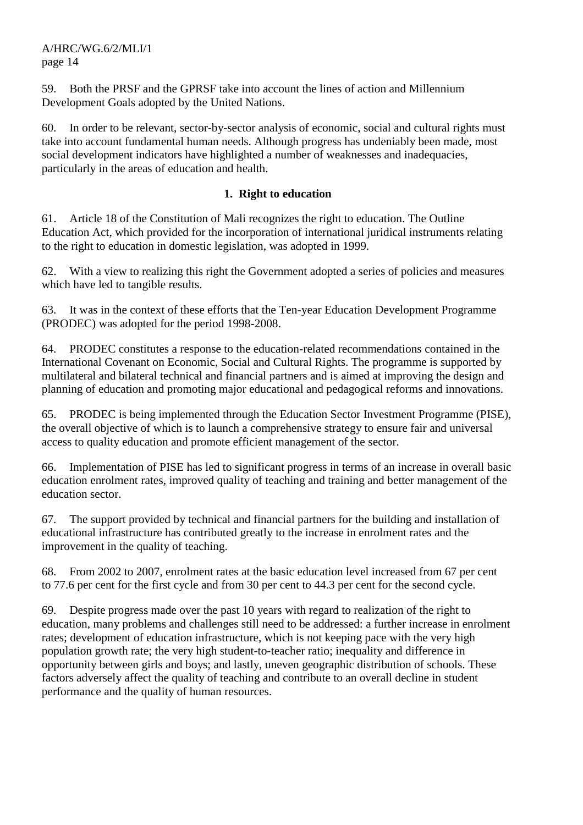59. Both the PRSF and the GPRSF take into account the lines of action and Millennium Development Goals adopted by the United Nations.

60. In order to be relevant, sector-by-sector analysis of economic, social and cultural rights must take into account fundamental human needs. Although progress has undeniably been made, most social development indicators have highlighted a number of weaknesses and inadequacies, particularly in the areas of education and health.

## **1. Right to education**

61. Article 18 of the Constitution of Mali recognizes the right to education. The Outline Education Act, which provided for the incorporation of international juridical instruments relating to the right to education in domestic legislation, was adopted in 1999.

62. With a view to realizing this right the Government adopted a series of policies and measures which have led to tangible results.

63. It was in the context of these efforts that the Ten-year Education Development Programme (PRODEC) was adopted for the period 1998-2008.

64. PRODEC constitutes a response to the education-related recommendations contained in the International Covenant on Economic, Social and Cultural Rights. The programme is supported by multilateral and bilateral technical and financial partners and is aimed at improving the design and planning of education and promoting major educational and pedagogical reforms and innovations.

65. PRODEC is being implemented through the Education Sector Investment Programme (PISE), the overall objective of which is to launch a comprehensive strategy to ensure fair and universal access to quality education and promote efficient management of the sector.

66. Implementation of PISE has led to significant progress in terms of an increase in overall basic education enrolment rates, improved quality of teaching and training and better management of the education sector.

67. The support provided by technical and financial partners for the building and installation of educational infrastructure has contributed greatly to the increase in enrolment rates and the improvement in the quality of teaching.

68. From 2002 to 2007, enrolment rates at the basic education level increased from 67 per cent to 77.6 per cent for the first cycle and from 30 per cent to 44.3 per cent for the second cycle.

69. Despite progress made over the past 10 years with regard to realization of the right to education, many problems and challenges still need to be addressed: a further increase in enrolment rates; development of education infrastructure, which is not keeping pace with the very high population growth rate; the very high student-to-teacher ratio; inequality and difference in opportunity between girls and boys; and lastly, uneven geographic distribution of schools. These factors adversely affect the quality of teaching and contribute to an overall decline in student performance and the quality of human resources.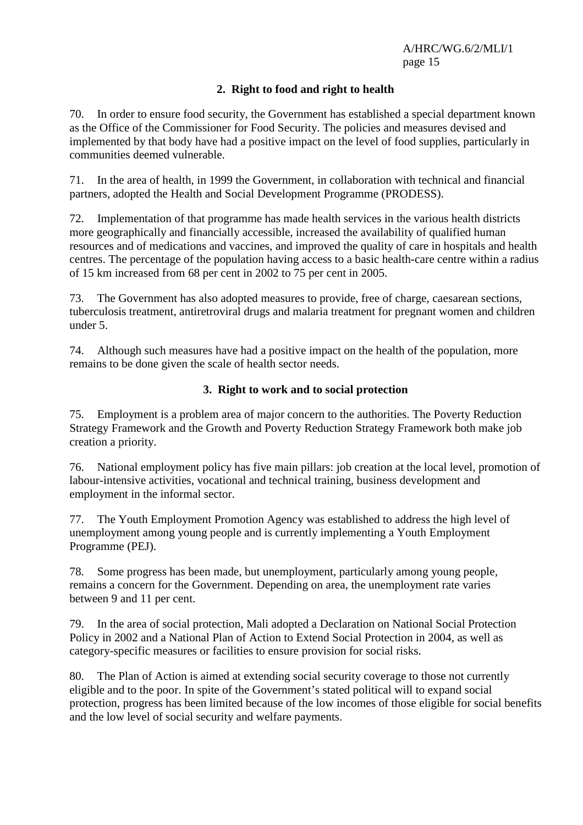## **2. Right to food and right to health**

70. In order to ensure food security, the Government has established a special department known as the Office of the Commissioner for Food Security. The policies and measures devised and implemented by that body have had a positive impact on the level of food supplies, particularly in communities deemed vulnerable.

71. In the area of health, in 1999 the Government, in collaboration with technical and financial partners, adopted the Health and Social Development Programme (PRODESS).

72. Implementation of that programme has made health services in the various health districts more geographically and financially accessible, increased the availability of qualified human resources and of medications and vaccines, and improved the quality of care in hospitals and health centres. The percentage of the population having access to a basic health-care centre within a radius of 15 km increased from 68 per cent in 2002 to 75 per cent in 2005.

73. The Government has also adopted measures to provide, free of charge, caesarean sections, tuberculosis treatment, antiretroviral drugs and malaria treatment for pregnant women and children under 5.

74. Although such measures have had a positive impact on the health of the population, more remains to be done given the scale of health sector needs.

## **3. Right to work and to social protection**

75. Employment is a problem area of major concern to the authorities. The Poverty Reduction Strategy Framework and the Growth and Poverty Reduction Strategy Framework both make job creation a priority.

76. National employment policy has five main pillars: job creation at the local level, promotion of labour-intensive activities, vocational and technical training, business development and employment in the informal sector.

77. The Youth Employment Promotion Agency was established to address the high level of unemployment among young people and is currently implementing a Youth Employment Programme (PEJ).

78. Some progress has been made, but unemployment, particularly among young people, remains a concern for the Government. Depending on area, the unemployment rate varies between 9 and 11 per cent.

79. In the area of social protection, Mali adopted a Declaration on National Social Protection Policy in 2002 and a National Plan of Action to Extend Social Protection in 2004, as well as category-specific measures or facilities to ensure provision for social risks.

80. The Plan of Action is aimed at extending social security coverage to those not currently eligible and to the poor. In spite of the Government's stated political will to expand social protection, progress has been limited because of the low incomes of those eligible for social benefits and the low level of social security and welfare payments.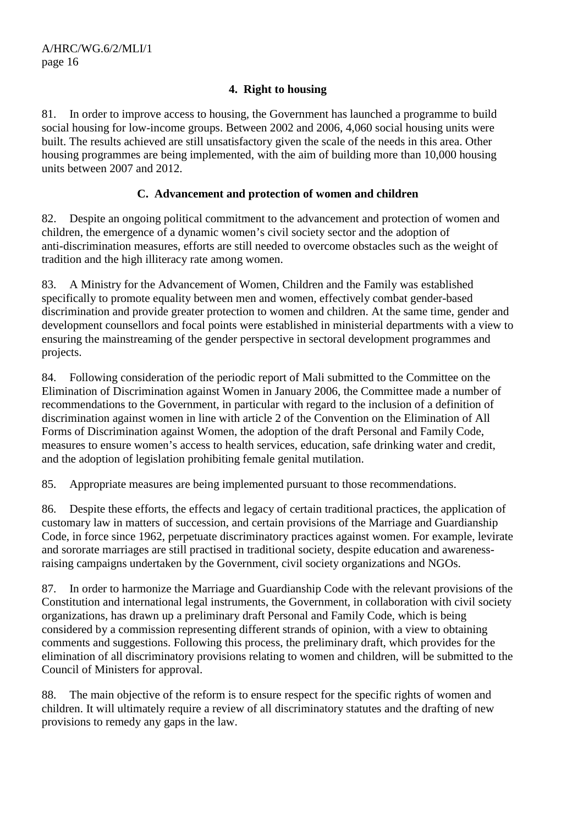## **4. Right to housing**

81. In order to improve access to housing, the Government has launched a programme to build social housing for low-income groups. Between 2002 and 2006, 4,060 social housing units were built. The results achieved are still unsatisfactory given the scale of the needs in this area. Other housing programmes are being implemented, with the aim of building more than 10,000 housing units between 2007 and 2012.

## **C. Advancement and protection of women and children**

82. Despite an ongoing political commitment to the advancement and protection of women and children, the emergence of a dynamic women's civil society sector and the adoption of anti-discrimination measures, efforts are still needed to overcome obstacles such as the weight of tradition and the high illiteracy rate among women.

83. A Ministry for the Advancement of Women, Children and the Family was established specifically to promote equality between men and women, effectively combat gender-based discrimination and provide greater protection to women and children. At the same time, gender and development counsellors and focal points were established in ministerial departments with a view to ensuring the mainstreaming of the gender perspective in sectoral development programmes and projects.

84. Following consideration of the periodic report of Mali submitted to the Committee on the Elimination of Discrimination against Women in January 2006, the Committee made a number of recommendations to the Government, in particular with regard to the inclusion of a definition of discrimination against women in line with article 2 of the Convention on the Elimination of All Forms of Discrimination against Women, the adoption of the draft Personal and Family Code, measures to ensure women's access to health services, education, safe drinking water and credit, and the adoption of legislation prohibiting female genital mutilation.

85. Appropriate measures are being implemented pursuant to those recommendations.

86. Despite these efforts, the effects and legacy of certain traditional practices, the application of customary law in matters of succession, and certain provisions of the Marriage and Guardianship Code, in force since 1962, perpetuate discriminatory practices against women. For example, levirate and sororate marriages are still practised in traditional society, despite education and awarenessraising campaigns undertaken by the Government, civil society organizations and NGOs.

87. In order to harmonize the Marriage and Guardianship Code with the relevant provisions of the Constitution and international legal instruments, the Government, in collaboration with civil society organizations, has drawn up a preliminary draft Personal and Family Code, which is being considered by a commission representing different strands of opinion, with a view to obtaining comments and suggestions. Following this process, the preliminary draft, which provides for the elimination of all discriminatory provisions relating to women and children, will be submitted to the Council of Ministers for approval.

88. The main objective of the reform is to ensure respect for the specific rights of women and children. It will ultimately require a review of all discriminatory statutes and the drafting of new provisions to remedy any gaps in the law.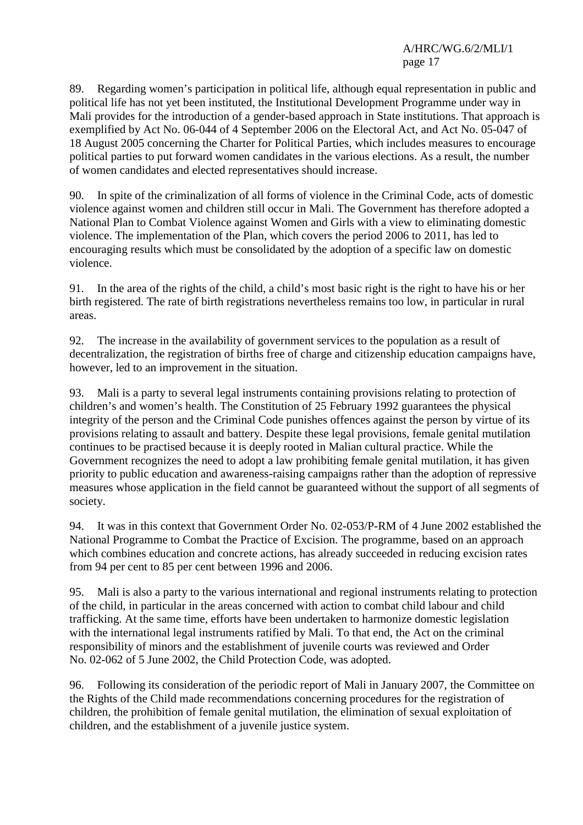89. Regarding women's participation in political life, although equal representation in public and political life has not yet been instituted, the Institutional Development Programme under way in Mali provides for the introduction of a gender-based approach in State institutions. That approach is exemplified by Act No. 06-044 of 4 September 2006 on the Electoral Act, and Act No. 05-047 of 18 August 2005 concerning the Charter for Political Parties, which includes measures to encourage political parties to put forward women candidates in the various elections. As a result, the number of women candidates and elected representatives should increase.

90. In spite of the criminalization of all forms of violence in the Criminal Code, acts of domestic violence against women and children still occur in Mali. The Government has therefore adopted a National Plan to Combat Violence against Women and Girls with a view to eliminating domestic violence. The implementation of the Plan, which covers the period 2006 to 2011, has led to encouraging results which must be consolidated by the adoption of a specific law on domestic violence.

91. In the area of the rights of the child, a child's most basic right is the right to have his or her birth registered. The rate of birth registrations nevertheless remains too low, in particular in rural areas.

92. The increase in the availability of government services to the population as a result of decentralization, the registration of births free of charge and citizenship education campaigns have, however, led to an improvement in the situation.

93. Mali is a party to several legal instruments containing provisions relating to protection of children's and women's health. The Constitution of 25 February 1992 guarantees the physical integrity of the person and the Criminal Code punishes offences against the person by virtue of its provisions relating to assault and battery. Despite these legal provisions, female genital mutilation continues to be practised because it is deeply rooted in Malian cultural practice. While the Government recognizes the need to adopt a law prohibiting female genital mutilation, it has given priority to public education and awareness-raising campaigns rather than the adoption of repressive measures whose application in the field cannot be guaranteed without the support of all segments of society.

94. It was in this context that Government Order No. 02-053/P-RM of 4 June 2002 established the National Programme to Combat the Practice of Excision. The programme, based on an approach which combines education and concrete actions, has already succeeded in reducing excision rates from 94 per cent to 85 per cent between 1996 and 2006.

95. Mali is also a party to the various international and regional instruments relating to protection of the child, in particular in the areas concerned with action to combat child labour and child trafficking. At the same time, efforts have been undertaken to harmonize domestic legislation with the international legal instruments ratified by Mali. To that end, the Act on the criminal responsibility of minors and the establishment of juvenile courts was reviewed and Order No. 02-062 of 5 June 2002, the Child Protection Code, was adopted.

96. Following its consideration of the periodic report of Mali in January 2007, the Committee on the Rights of the Child made recommendations concerning procedures for the registration of children, the prohibition of female genital mutilation, the elimination of sexual exploitation of children, and the establishment of a juvenile justice system.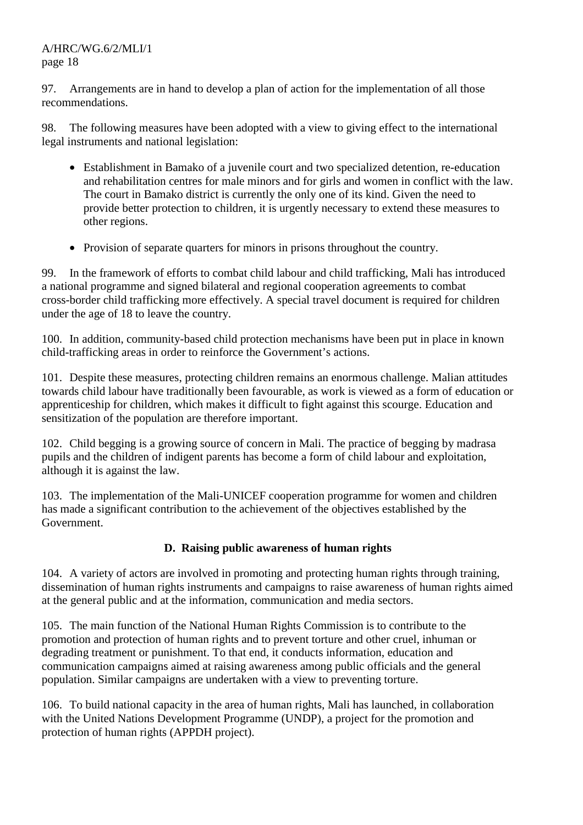97. Arrangements are in hand to develop a plan of action for the implementation of all those recommendations.

98. The following measures have been adopted with a view to giving effect to the international legal instruments and national legislation:

- Establishment in Bamako of a juvenile court and two specialized detention, re-education and rehabilitation centres for male minors and for girls and women in conflict with the law. The court in Bamako district is currently the only one of its kind. Given the need to provide better protection to children, it is urgently necessary to extend these measures to other regions.
- Provision of separate quarters for minors in prisons throughout the country.

99. In the framework of efforts to combat child labour and child trafficking, Mali has introduced a national programme and signed bilateral and regional cooperation agreements to combat cross-border child trafficking more effectively. A special travel document is required for children under the age of 18 to leave the country.

100. In addition, community-based child protection mechanisms have been put in place in known child-trafficking areas in order to reinforce the Government's actions.

101. Despite these measures, protecting children remains an enormous challenge. Malian attitudes towards child labour have traditionally been favourable, as work is viewed as a form of education or apprenticeship for children, which makes it difficult to fight against this scourge. Education and sensitization of the population are therefore important.

102. Child begging is a growing source of concern in Mali. The practice of begging by madrasa pupils and the children of indigent parents has become a form of child labour and exploitation, although it is against the law.

103. The implementation of the Mali-UNICEF cooperation programme for women and children has made a significant contribution to the achievement of the objectives established by the Government.

## **D. Raising public awareness of human rights**

104. A variety of actors are involved in promoting and protecting human rights through training, dissemination of human rights instruments and campaigns to raise awareness of human rights aimed at the general public and at the information, communication and media sectors.

105. The main function of the National Human Rights Commission is to contribute to the promotion and protection of human rights and to prevent torture and other cruel, inhuman or degrading treatment or punishment. To that end, it conducts information, education and communication campaigns aimed at raising awareness among public officials and the general population. Similar campaigns are undertaken with a view to preventing torture.

106. To build national capacity in the area of human rights, Mali has launched, in collaboration with the United Nations Development Programme (UNDP), a project for the promotion and protection of human rights (APPDH project).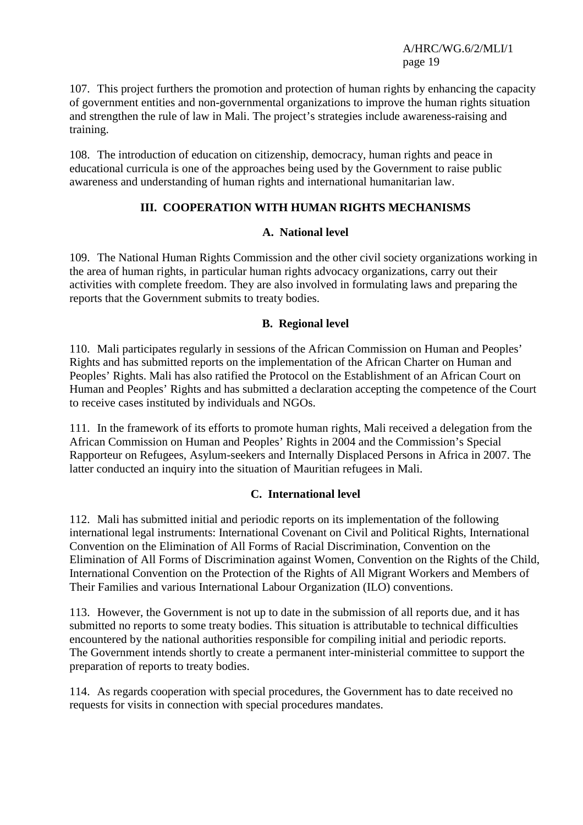107. This project furthers the promotion and protection of human rights by enhancing the capacity of government entities and non-governmental organizations to improve the human rights situation and strengthen the rule of law in Mali. The project's strategies include awareness-raising and training.

108. The introduction of education on citizenship, democracy, human rights and peace in educational curricula is one of the approaches being used by the Government to raise public awareness and understanding of human rights and international humanitarian law.

#### **III. COOPERATION WITH HUMAN RIGHTS MECHANISMS**

#### **A. National level**

109. The National Human Rights Commission and the other civil society organizations working in the area of human rights, in particular human rights advocacy organizations, carry out their activities with complete freedom. They are also involved in formulating laws and preparing the reports that the Government submits to treaty bodies.

#### **B. Regional level**

110. Mali participates regularly in sessions of the African Commission on Human and Peoples' Rights and has submitted reports on the implementation of the African Charter on Human and Peoples' Rights. Mali has also ratified the Protocol on the Establishment of an African Court on Human and Peoples' Rights and has submitted a declaration accepting the competence of the Court to receive cases instituted by individuals and NGOs.

111. In the framework of its efforts to promote human rights, Mali received a delegation from the African Commission on Human and Peoples' Rights in 2004 and the Commission's Special Rapporteur on Refugees, Asylum-seekers and Internally Displaced Persons in Africa in 2007. The latter conducted an inquiry into the situation of Mauritian refugees in Mali.

## **C. International level**

112. Mali has submitted initial and periodic reports on its implementation of the following international legal instruments: International Covenant on Civil and Political Rights, International Convention on the Elimination of All Forms of Racial Discrimination, Convention on the Elimination of All Forms of Discrimination against Women, Convention on the Rights of the Child, International Convention on the Protection of the Rights of All Migrant Workers and Members of Their Families and various International Labour Organization (ILO) conventions.

113. However, the Government is not up to date in the submission of all reports due, and it has submitted no reports to some treaty bodies. This situation is attributable to technical difficulties encountered by the national authorities responsible for compiling initial and periodic reports. The Government intends shortly to create a permanent inter-ministerial committee to support the preparation of reports to treaty bodies.

114. As regards cooperation with special procedures, the Government has to date received no requests for visits in connection with special procedures mandates.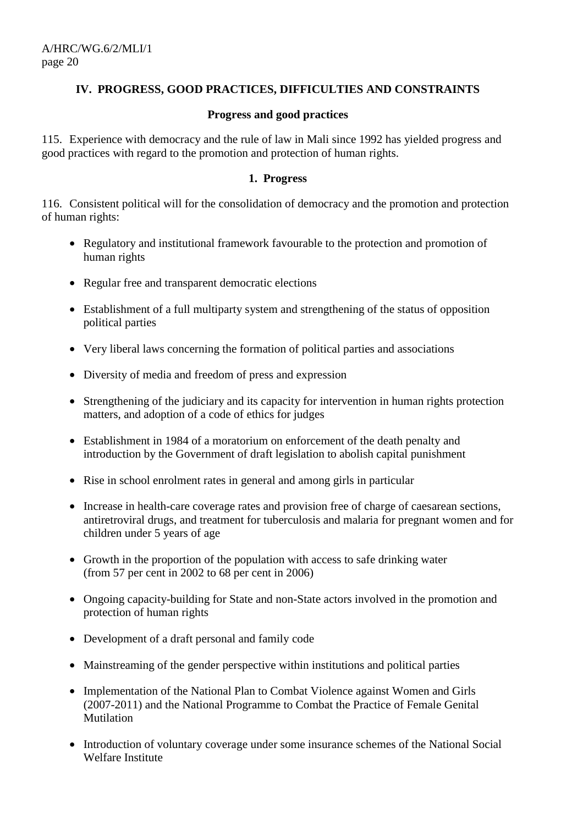## **IV. PROGRESS, GOOD PRACTICES, DIFFICULTIES AND CONSTRAINTS**

#### **Progress and good practices**

115. Experience with democracy and the rule of law in Mali since 1992 has yielded progress and good practices with regard to the promotion and protection of human rights.

#### **1. Progress**

116. Consistent political will for the consolidation of democracy and the promotion and protection of human rights:

- Regulatory and institutional framework favourable to the protection and promotion of human rights
- Regular free and transparent democratic elections
- Establishment of a full multiparty system and strengthening of the status of opposition political parties
- Very liberal laws concerning the formation of political parties and associations
- Diversity of media and freedom of press and expression
- Strengthening of the judiciary and its capacity for intervention in human rights protection matters, and adoption of a code of ethics for judges
- Establishment in 1984 of a moratorium on enforcement of the death penalty and introduction by the Government of draft legislation to abolish capital punishment
- Rise in school enrolment rates in general and among girls in particular
- Increase in health-care coverage rates and provision free of charge of caesarean sections, antiretroviral drugs, and treatment for tuberculosis and malaria for pregnant women and for children under 5 years of age
- Growth in the proportion of the population with access to safe drinking water (from 57 per cent in 2002 to 68 per cent in 2006)
- Ongoing capacity-building for State and non-State actors involved in the promotion and protection of human rights
- Development of a draft personal and family code
- Mainstreaming of the gender perspective within institutions and political parties
- Implementation of the National Plan to Combat Violence against Women and Girls (2007-2011) and the National Programme to Combat the Practice of Female Genital Mutilation
- Introduction of voluntary coverage under some insurance schemes of the National Social Welfare Institute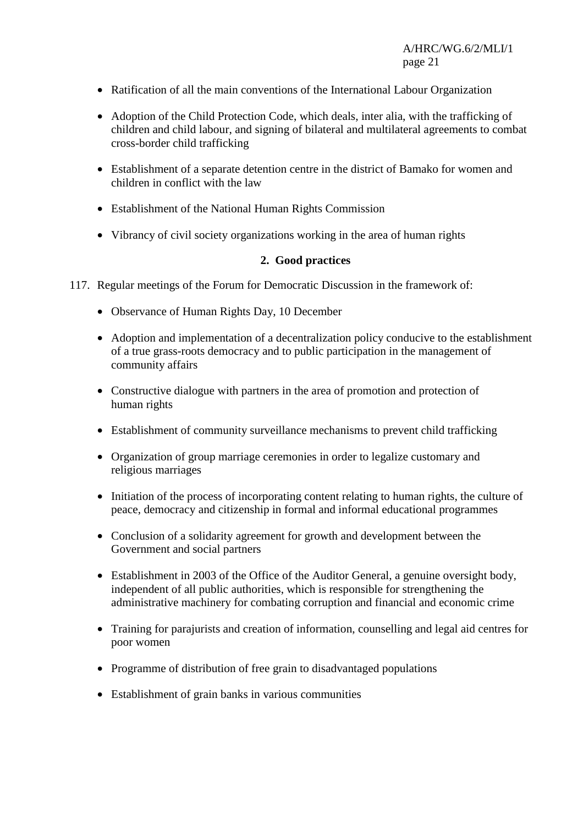- Ratification of all the main conventions of the International Labour Organization
- Adoption of the Child Protection Code, which deals, inter alia, with the trafficking of children and child labour, and signing of bilateral and multilateral agreements to combat cross-border child trafficking
- Establishment of a separate detention centre in the district of Bamako for women and children in conflict with the law
- Establishment of the National Human Rights Commission
- Vibrancy of civil society organizations working in the area of human rights

#### **2. Good practices**

- 117. Regular meetings of the Forum for Democratic Discussion in the framework of:
	- Observance of Human Rights Day, 10 December
	- Adoption and implementation of a decentralization policy conducive to the establishment of a true grass-roots democracy and to public participation in the management of community affairs
	- Constructive dialogue with partners in the area of promotion and protection of human rights
	- Establishment of community surveillance mechanisms to prevent child trafficking
	- Organization of group marriage ceremonies in order to legalize customary and religious marriages
	- Initiation of the process of incorporating content relating to human rights, the culture of peace, democracy and citizenship in formal and informal educational programmes
	- Conclusion of a solidarity agreement for growth and development between the Government and social partners
	- Establishment in 2003 of the Office of the Auditor General, a genuine oversight body, independent of all public authorities, which is responsible for strengthening the administrative machinery for combating corruption and financial and economic crime
	- Training for parajurists and creation of information, counselling and legal aid centres for poor women
	- Programme of distribution of free grain to disadvantaged populations
	- Establishment of grain banks in various communities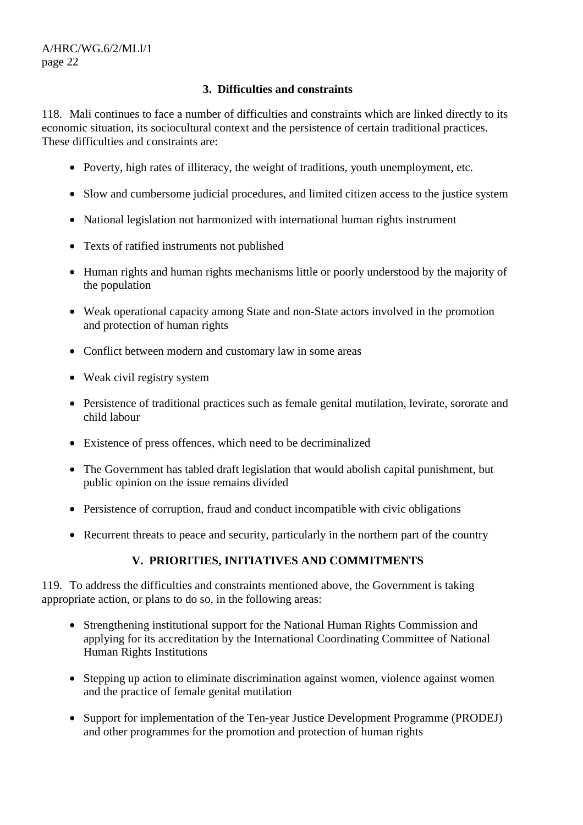## **3. Difficulties and constraints**

118. Mali continues to face a number of difficulties and constraints which are linked directly to its economic situation, its sociocultural context and the persistence of certain traditional practices. These difficulties and constraints are:

- Poverty, high rates of illiteracy, the weight of traditions, youth unemployment, etc.
- Slow and cumbersome judicial procedures, and limited citizen access to the justice system
- National legislation not harmonized with international human rights instrument
- Texts of ratified instruments not published
- Human rights and human rights mechanisms little or poorly understood by the majority of the population
- Weak operational capacity among State and non-State actors involved in the promotion and protection of human rights
- Conflict between modern and customary law in some areas
- Weak civil registry system
- Persistence of traditional practices such as female genital mutilation, levirate, sororate and child labour
- Existence of press offences, which need to be decriminalized
- The Government has tabled draft legislation that would abolish capital punishment, but public opinion on the issue remains divided
- Persistence of corruption, fraud and conduct incompatible with civic obligations
- Recurrent threats to peace and security, particularly in the northern part of the country

## **V. PRIORITIES, INITIATIVES AND COMMITMENTS**

119. To address the difficulties and constraints mentioned above, the Government is taking appropriate action, or plans to do so, in the following areas:

- Strengthening institutional support for the National Human Rights Commission and applying for its accreditation by the International Coordinating Committee of National Human Rights Institutions
- Stepping up action to eliminate discrimination against women, violence against women and the practice of female genital mutilation
- Support for implementation of the Ten-year Justice Development Programme (PRODEJ) and other programmes for the promotion and protection of human rights